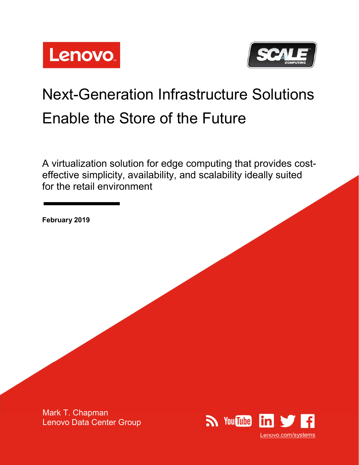



# Next-Generation Infrastructure Solutions Enable the Store of the Future

A virtualization solution for edge computing that provides costeffective simplicity, availability, and scalability ideally suited for the retail environment

February 2019

Mark T. Chapman Lenovo Data Center Group

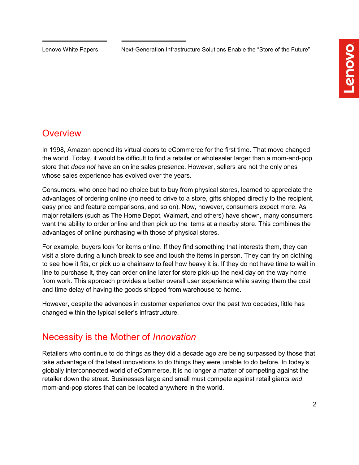Lenovo White Papers Next-Generation Infrastructure Solutions Enable the "Store of the Future"

# **Overview**

In 1998, Amazon opened its virtual doors to eCommerce for the first time. That move changed the world. Today, it would be difficult to find a retailer or wholesaler larger than a mom-and-pop store that *does not* have an online sales presence. However, sellers are not the only ones whose sales experience has evolved over the years.

Consumers, who once had no choice but to buy from physical stores, learned to appreciate the advantages of ordering online (no need to drive to a store, gifts shipped directly to the recipient, easy price and feature comparisons, and so on). Now, however, consumers expect more. As major retailers (such as The Home Depot, Walmart, and others) have shown, many consumers want the ability to order online and then pick up the items at a nearby store. This combines the advantages of online purchasing with those of physical stores.

For example, buyers look for items online. If they find something that interests them, they can visit a store during a lunch break to see and touch the items in person. They can try on clothing to see how it fits, or pick up a chainsaw to feel how heavy it is. If they do not have time to wait in line to purchase it, they can order online later for store pick-up the next day on the way home from work. This approach provides a better overall user experience while saving them the cost and time delay of having the goods shipped from warehouse to home.

However, despite the advances in customer experience over the past two decades, little has changed within the typical seller's infrastructure.

# Necessity is the Mother of Innovation

Retailers who continue to do things as they did a decade ago are being surpassed by those that take advantage of the latest innovations to do things they were unable to do before. In today's globally interconnected world of eCommerce, it is no longer a matter of competing against the retailer down the street. Businesses large and small must compete against retail giants and mom-and-pop stores that can be located anywhere in the world.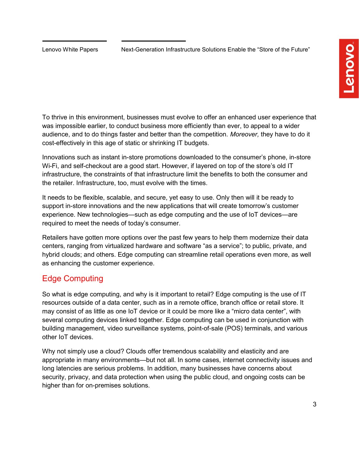To thrive in this environment, businesses must evolve to offer an enhanced user experience that was impossible earlier, to conduct business more efficiently than ever, to appeal to a wider audience, and to do things faster and better than the competition. Moreover, they have to do it cost-effectively in this age of static or shrinking IT budgets.

Innovations such as instant in-store promotions downloaded to the consumer's phone, in-store Wi-Fi, and self-checkout are a good start. However, if layered on top of the store's old IT infrastructure, the constraints of that infrastructure limit the benefits to both the consumer and the retailer. Infrastructure, too, must evolve with the times.

It needs to be flexible, scalable, and secure, yet easy to use. Only then will it be ready to support in-store innovations and the new applications that will create tomorrow's customer experience. New technologies—such as edge computing and the use of IoT devices—are required to meet the needs of today's consumer.

Retailers have gotten more options over the past few years to help them modernize their data centers, ranging from virtualized hardware and software "as a service"; to public, private, and hybrid clouds; and others. Edge computing can streamline retail operations even more, as well as enhancing the customer experience.

### Edge Computing

So what is edge computing, and why is it important to retail? Edge computing is the use of IT resources outside of a data center, such as in a remote office, branch office or retail store. It may consist of as little as one IoT device or it could be more like a "micro data center", with several computing devices linked together. Edge computing can be used in conjunction with building management, video surveillance systems, point-of-sale (POS) terminals, and various other IoT devices.

Why not simply use a cloud? Clouds offer tremendous scalability and elasticity and are appropriate in many environments—but not all. In some cases, internet connectivity issues and long latencies are serious problems. In addition, many businesses have concerns about security, privacy, and data protection when using the public cloud, and ongoing costs can be higher than for on-premises solutions.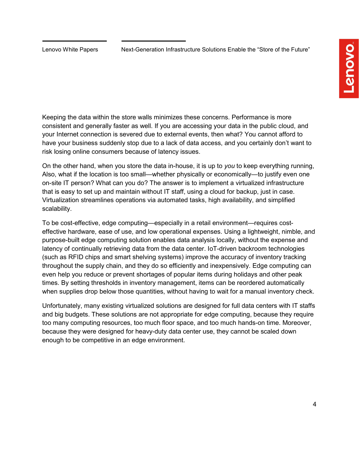Keeping the data within the store walls minimizes these concerns. Performance is more consistent and generally faster as well. If you are accessing your data in the public cloud, and your Internet connection is severed due to external events, then what? You cannot afford to have your business suddenly stop due to a lack of data access, and you certainly don't want to risk losing online consumers because of latency issues.

On the other hand, when you store the data in-house, it is up to you to keep everything running, Also, what if the location is too small—whether physically or economically—to justify even one on-site IT person? What can you do? The answer is to implement a virtualized infrastructure that is easy to set up and maintain without IT staff, using a cloud for backup, just in case. Virtualization streamlines operations via automated tasks, high availability, and simplified scalability.

To be cost-effective, edge computing—especially in a retail environment—requires costeffective hardware, ease of use, and low operational expenses. Using a lightweight, nimble, and purpose-built edge computing solution enables data analysis locally, without the expense and latency of continually retrieving data from the data center. IoT-driven backroom technologies (such as RFID chips and smart shelving systems) improve the accuracy of inventory tracking throughout the supply chain, and they do so efficiently and inexpensively. Edge computing can even help you reduce or prevent shortages of popular items during holidays and other peak times. By setting thresholds in inventory management, items can be reordered automatically when supplies drop below those quantities, without having to wait for a manual inventory check.

Unfortunately, many existing virtualized solutions are designed for full data centers with IT staffs and big budgets. These solutions are not appropriate for edge computing, because they require too many computing resources, too much floor space, and too much hands-on time. Moreover, because they were designed for heavy-duty data center use, they cannot be scaled down enough to be competitive in an edge environment.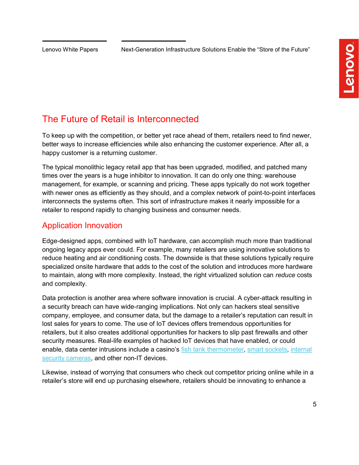# The Future of Retail is Interconnected

To keep up with the competition, or better yet race ahead of them, retailers need to find newer, better ways to increase efficiencies while also enhancing the customer experience. After all, a happy customer is a returning customer.

The typical monolithic legacy retail app that has been upgraded, modified, and patched many times over the years is a huge inhibitor to innovation. It can do only one thing: warehouse management, for example, or scanning and pricing. These apps typically do not work together with newer ones as efficiently as they should, and a complex network of point-to-point interfaces interconnects the systems often. This sort of infrastructure makes it nearly impossible for a retailer to respond rapidly to changing business and consumer needs.

### Application Innovation

Edge-designed apps, combined with IoT hardware, can accomplish much more than traditional ongoing legacy apps ever could. For example, many retailers are using innovative solutions to reduce heating and air conditioning costs. The downside is that these solutions typically require specialized onsite hardware that adds to the cost of the solution and introduces more hardware to maintain, along with more complexity. Instead, the right virtualized solution can reduce costs and complexity.

Data protection is another area where software innovation is crucial. A cyber-attack resulting in a security breach can have wide-ranging implications. Not only can hackers steal sensitive company, employee, and consumer data, but the damage to a retailer's reputation can result in lost sales for years to come. The use of IoT devices offers tremendous opportunities for retailers, but it also creates additional opportunities for hackers to slip past firewalls and other security measures. Real-life examples of hacked IoT devices that have enabled, or could enable, data center intrusions include a casino's fish tank thermometer, smart sockets, internal security cameras, and other non-IT devices.

Likewise, instead of worrying that consumers who check out competitor pricing online while in a retailer's store will end up purchasing elsewhere, retailers should be innovating to enhance a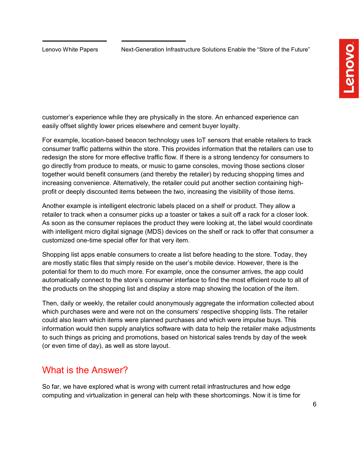customer's experience while they are physically in the store. An enhanced experience can easily offset slightly lower prices elsewhere and cement buyer loyalty.

For example, location-based beacon technology uses IoT sensors that enable retailers to track consumer traffic patterns within the store. This provides information that the retailers can use to redesign the store for more effective traffic flow. If there is a strong tendency for consumers to go directly from produce to meats, or music to game consoles, moving those sections closer together would benefit consumers (and thereby the retailer) by reducing shopping times and increasing convenience. Alternatively, the retailer could put another section containing highprofit or deeply discounted items between the two, increasing the visibility of those items.

Another example is intelligent electronic labels placed on a shelf or product. They allow a retailer to track when a consumer picks up a toaster or takes a suit off a rack for a closer look. As soon as the consumer replaces the product they were looking at, the label would coordinate with intelligent micro digital signage (MDS) devices on the shelf or rack to offer that consumer a customized one-time special offer for that very item.

Shopping list apps enable consumers to create a list before heading to the store. Today, they are mostly static files that simply reside on the user's mobile device. However, there is the potential for them to do much more. For example, once the consumer arrives, the app could automatically connect to the store's consumer interface to find the most efficient route to all of the products on the shopping list and display a store map showing the location of the item.

Then, daily or weekly, the retailer could anonymously aggregate the information collected about which purchases were and were not on the consumers' respective shopping lists. The retailer could also learn which items were planned purchases and which were impulse buys. This information would then supply analytics software with data to help the retailer make adjustments to such things as pricing and promotions, based on historical sales trends by day of the week (or even time of day), as well as store layout.

### What is the Answer?

So far, we have explored what is *wrong* with current retail infrastructures and how edge computing and virtualization in general can help with these shortcomings. Now it is time for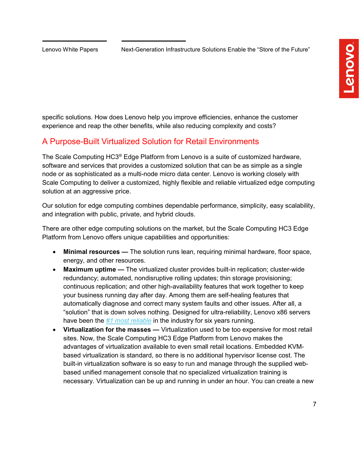specific solutions. How does Lenovo help you improve efficiencies, enhance the customer experience and reap the other benefits, while also reducing complexity and costs?

### A Purpose-Built Virtualized Solution for Retail Environments

The Scale Computing HC3® Edge Platform from Lenovo is a suite of customized hardware, software and services that provides a customized solution that can be as simple as a single node or as sophisticated as a multi-node micro data center. Lenovo is working closely with Scale Computing to deliver a customized, highly flexible and reliable virtualized edge computing solution at an aggressive price.

Our solution for edge computing combines dependable performance, simplicity, easy scalability, and integration with public, private, and hybrid clouds.

There are other edge computing solutions on the market, but the Scale Computing HC3 Edge Platform from Lenovo offers unique capabilities and opportunities:

- Minimal resources The solution runs lean, requiring minimal hardware, floor space, energy, and other resources.
- Maximum uptime The virtualized cluster provides built-in replication; cluster-wide redundancy; automated, nondisruptive rolling updates; thin storage provisioning; continuous replication; and other high-availability features that work together to keep your business running day after day. Among them are self-healing features that automatically diagnose and correct many system faults and other issues. After all, a "solution" that is down solves nothing. Designed for ultra-reliability, Lenovo x86 servers have been the #1 most reliable in the industry for six years running.
- Virtualization for the masses Virtualization used to be too expensive for most retail sites. Now, the Scale Computing HC3 Edge Platform from Lenovo makes the advantages of virtualization available to even small retail locations. Embedded KVMbased virtualization is standard, so there is no additional hypervisor license cost. The built-in virtualization software is so easy to run and manage through the supplied webbased unified management console that no specialized virtualization training is necessary. Virtualization can be up and running in under an hour. You can create a new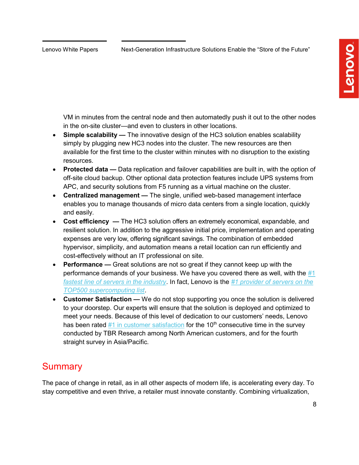VM in minutes from the central node and then automatedly push it out to the other nodes in the on-site cluster—and even to clusters in other locations.

- Simple scalability The innovative design of the HC3 solution enables scalability simply by plugging new HC3 nodes into the cluster. The new resources are then available for the first time to the cluster within minutes with no disruption to the existing resources.
- Protected data Data replication and failover capabilities are built in, with the option of off-site cloud backup. Other optional data protection features include UPS systems from APC, and security solutions from F5 running as a virtual machine on the cluster.
- Centralized management The single, unified web-based management interface enables you to manage thousands of micro data centers from a single location, quickly and easily.
- Cost efficiency The HC3 solution offers an extremely economical, expandable, and resilient solution. In addition to the aggressive initial price, implementation and operating expenses are very low, offering significant savings. The combination of embedded hypervisor, simplicity, and automation means a retail location can run efficiently and cost-effectively without an IT professional on site.
- Performance Great solutions are not so great if they cannot keep up with the performance demands of your business. We have you covered there as well, with the  $\#1$ fastest line of servers in the industry. In fact, Lenovo is the #1 provider of servers on the TOP500 supercomputing list.
- Customer Satisfaction We do not stop supporting you once the solution is delivered to your doorstep. Our experts will ensure that the solution is deployed and optimized to meet your needs. Because of this level of dedication to our customers' needs, Lenovo has been rated  $#1$  in customer satisfaction for the 10<sup>th</sup> consecutive time in the survey conducted by TBR Research among North American customers, and for the fourth straight survey in Asia/Pacific.

### **Summary**

The pace of change in retail, as in all other aspects of modern life, is accelerating every day. To stay competitive and even thrive, a retailer must innovate constantly. Combining virtualization,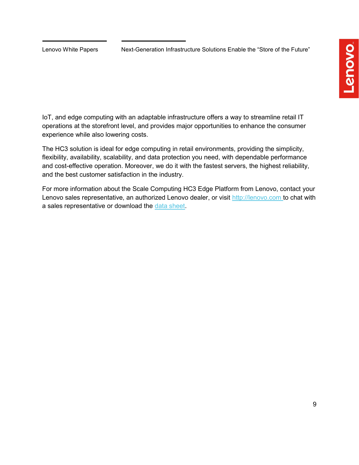IoT, and edge computing with an adaptable infrastructure offers a way to streamline retail IT operations at the storefront level, and provides major opportunities to enhance the consumer experience while also lowering costs.

The HC3 solution is ideal for edge computing in retail environments, providing the simplicity, flexibility, availability, scalability, and data protection you need, with dependable performance and cost-effective operation. Moreover, we do it with the fastest servers, the highest reliability, and the best customer satisfaction in the industry.

For more information about the Scale Computing HC3 Edge Platform from Lenovo, contact your Lenovo sales representative, an authorized Lenovo dealer, or visit http://lenovo.com to chat with a sales representative or download the data sheet.